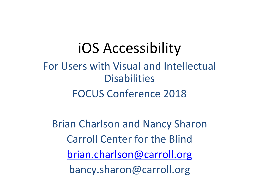#### iOS Accessibility

#### For Users with Visual and Intellectual **Disabilities** FOCUS Conference 2018

**Brian Charlson and Nancy Sharon** Carroll Center for the Blind brian.charlson@carroll.org bancy.sharon@carroll.org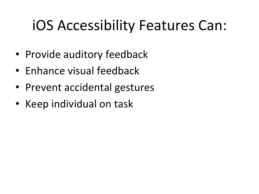### iOS Accessibility Features Can:

- Provide auditory feedback
- Enhance visual feedback
- Prevent accidental gestures
- Keep individual on task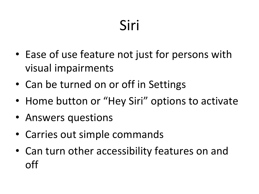# Siri

- Ease of use feature not just for persons with visual impairments
- Can be turned on or off in Settings
- Home button or "Hey Siri" options to activate
- Answers questions
- Carries out simple commands
- Can turn other accessibility features on and off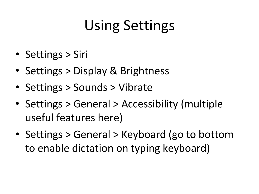### Using Settings

- Settings > Siri
- Settings > Display & Brightness
- Settings > Sounds > Vibrate
- Settings > General > Accessibility (multiple useful features here)
- Settings > General > Keyboard (go to bottom to enable dictation on typing keyboard)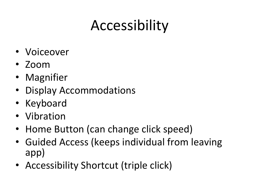### Accessibility

- Voiceover
- Zoom
- Magnifier
- Display Accommodations
- Keyboard
- Vibration
- Home Button (can change click speed)
- Guided Access (keeps individual from leaving app)
- Accessibility Shortcut (triple click)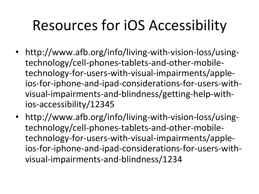## Resources for iOS Accessibility

- http://www.afb.org/info/living-with-vision-loss/usingtechnology/cell-phones-tablets-and-other-mobiletechnology-for-users-with-visual-impairments/appleios-for-iphone-and-ipad-considerations-for-users-withvisual-impairments-and-blindness/getting-help-withios-accessibility/12345
- http://www.afb.org/info/living-with-vision-loss/usingtechnology/cell-phones-tablets-and-other-mobiletechnology-for-users-with-visual-impairments/appleios-for-iphone-and-ipad-considerations-for-users-withvisual-impairments-and-blindness/1234